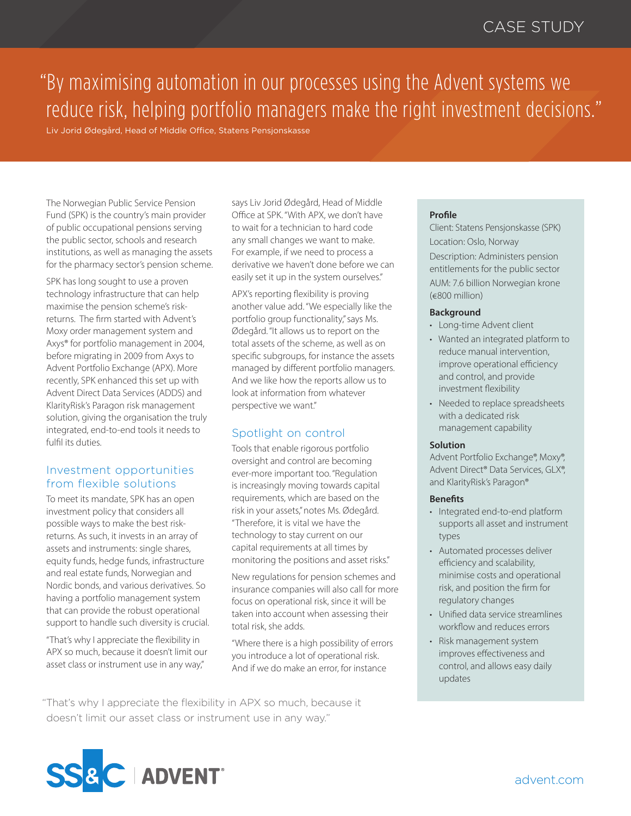# "By maximising automation in our processes using the Advent systems we reduce risk, helping portfolio managers make the right investment decisions."

Liv Jorid Ødegård, Head of Middle Office, Statens Pensjonskasse

The Norwegian Public Service Pension Fund (SPK) is the country's main provider of public occupational pensions serving the public sector, schools and research institutions, as well as managing the assets for the pharmacy sector's pension scheme.

SPK has long sought to use a proven technology infrastructure that can help maximise the pension scheme's riskreturns. The firm started with Advent's Moxy order management system and Axys® for portfolio management in 2004, before migrating in 2009 from Axys to Advent Portfolio Exchange (APX). More recently, SPK enhanced this set up with Advent Direct Data Services (ADDS) and KlarityRisk's Paragon risk management solution, giving the organisation the truly integrated, end-to-end tools it needs to fulfil its duties.

# Investment opportunities from flexible solutions

To meet its mandate, SPK has an open investment policy that considers all possible ways to make the best riskreturns. As such, it invests in an array of assets and instruments: single shares, equity funds, hedge funds, infrastructure and real estate funds, Norwegian and Nordic bonds, and various derivatives. So having a portfolio management system that can provide the robust operational support to handle such diversity is crucial.

"That's why I appreciate the flexibility in APX so much, because it doesn't limit our asset class or instrument use in any way,"

says Liv Jorid Ødegård, Head of Middle Office at SPK. "With APX, we don't have to wait for a technician to hard code any small changes we want to make. For example, if we need to process a derivative we haven't done before we can easily set it up in the system ourselves."

APX's reporting flexibility is proving another value add. "We especially like the portfolio group functionality," says Ms. Ødegård. "It allows us to report on the total assets of the scheme, as well as on specific subgroups, for instance the assets managed by different portfolio managers. And we like how the reports allow us to look at information from whatever perspective we want."

# Spotlight on control

Tools that enable rigorous portfolio oversight and control are becoming ever-more important too. "Regulation is increasingly moving towards capital requirements, which are based on the risk in your assets," notes Ms. Ødegård. "Therefore, it is vital we have the technology to stay current on our capital requirements at all times by monitoring the positions and asset risks."

New regulations for pension schemes and insurance companies will also call for more focus on operational risk, since it will be taken into account when assessing their total risk, she adds.

"Where there is a high possibility of errors you introduce a lot of operational risk. And if we do make an error, for instance

"That's why I appreciate the flexibility in APX so much, because it doesn't limit our asset class or instrument use in any way."

### **Profile**

Client: Statens Pensjonskasse (SPK) Location: Oslo, Norway Description: Administers pension entitlements for the public sector AUM: 7.6 billion Norwegian krone (€800 million)

#### **Background**

- Long-time Advent client
- Wanted an integrated platform to reduce manual intervention, improve operational efficiency and control, and provide investment flexibility
- Needed to replace spreadsheets with a dedicated risk management capability

#### **Solution**

Advent Portfolio Exchange®, Moxy®, Advent Direct® Data Services, GLX®, and KlarityRisk's Paragon®

#### **Benefits**

- Integrated end-to-end platform supports all asset and instrument types
- Automated processes deliver efficiency and scalability, minimise costs and operational risk, and position the firm for regulatory changes
- Unified data service streamlines workflow and reduces errors
- Risk management system improves effectiveness and control, and allows easy daily updates